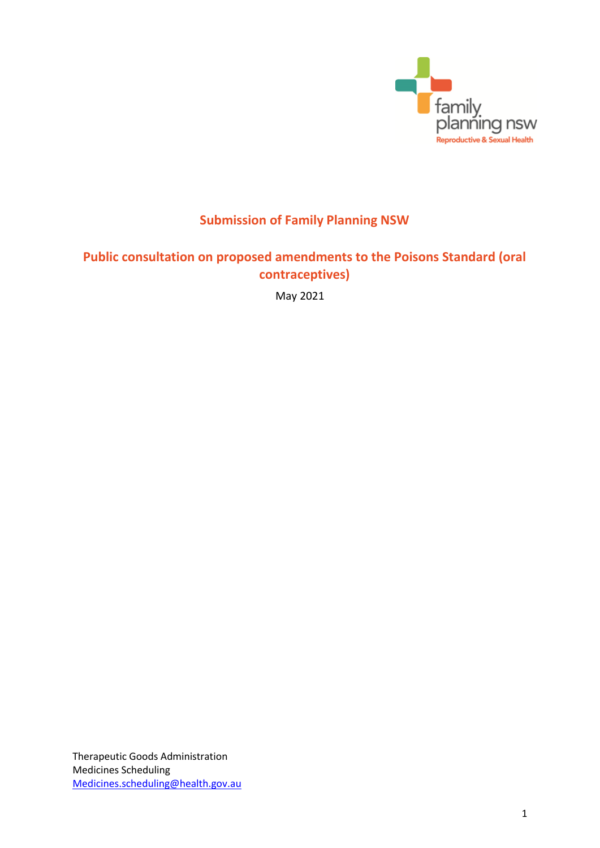

# **Submission of Family Planning NSW**

# **Public consultation on proposed amendments to the Poisons Standard (oral contraceptives)**

May 2021

Therapeutic Goods Administration Medicines Scheduling [Medicines.scheduling@health.gov.au](mailto:Medicines.scheduling@health.gov.au)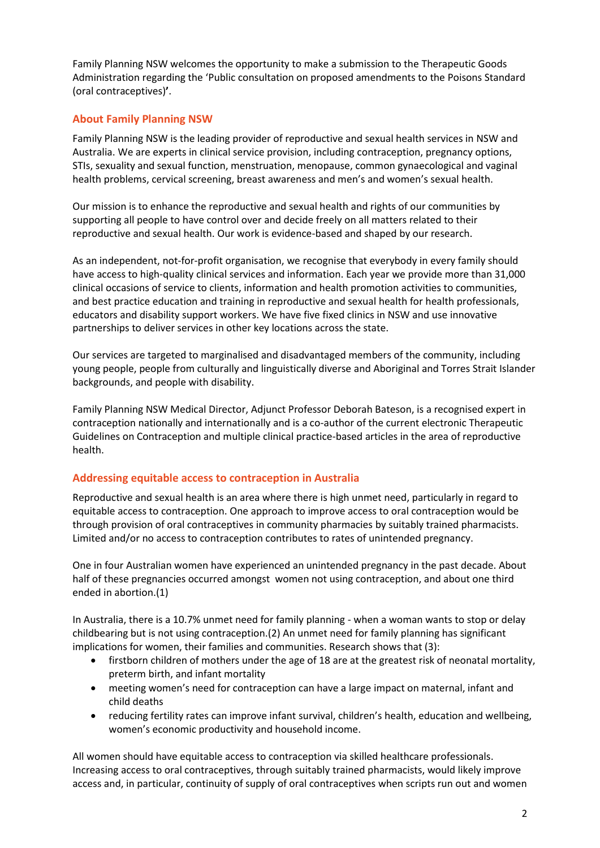Family Planning NSW welcomes the opportunity to make a submission to the Therapeutic Goods Administration regarding the 'Public consultation on proposed amendments to the Poisons Standard (oral contraceptives)**'**.

# **About Family Planning NSW**

Family Planning NSW is the leading provider of reproductive and sexual health services in NSW and Australia. We are experts in clinical service provision, including contraception, pregnancy options, STIs, sexuality and sexual function, menstruation, menopause, common gynaecological and vaginal health problems, cervical screening, breast awareness and men's and women's sexual health.

Our mission is to enhance the reproductive and sexual health and rights of our communities by supporting all people to have control over and decide freely on all matters related to their reproductive and sexual health. Our work is evidence-based and shaped by our research.

As an independent, not-for-profit organisation, we recognise that everybody in every family should have access to high-quality clinical services and information. Each year we provide more than 31,000 clinical occasions of service to clients, information and health promotion activities to communities, and best practice education and training in reproductive and sexual health for health professionals, educators and disability support workers. We have five fixed clinics in NSW and use innovative partnerships to deliver services in other key locations across the state.

Our services are targeted to marginalised and disadvantaged members of the community, including young people, people from culturally and linguistically diverse and Aboriginal and Torres Strait Islander backgrounds, and people with disability.

Family Planning NSW Medical Director, Adjunct Professor Deborah Bateson, is a recognised expert in contraception nationally and internationally and is a co-author of the current electronic Therapeutic Guidelines on Contraception and multiple clinical practice-based articles in the area of reproductive health.

# **Addressing equitable access to contraception in Australia**

Reproductive and sexual health is an area where there is high unmet need, particularly in regard to equitable access to contraception. One approach to improve access to oral contraception would be through provision of oral contraceptives in community pharmacies by suitably trained pharmacists. Limited and/or no access to contraception contributes to rates of unintended pregnancy.

One in four Australian women have experienced an unintended pregnancy in the past decade. About half of these pregnancies occurred amongst women not using contraception, and about one third ended in abortion.(1)

In Australia, there is a 10.7% unmet need for family planning - when a woman wants to stop or delay childbearing but is not using contraception.(2) An unmet need for family planning has significant implications for women, their families and communities. Research shows that (3):

- firstborn children of mothers under the age of 18 are at the greatest risk of neonatal mortality, preterm birth, and infant mortality
- meeting women's need for contraception can have a large impact on maternal, infant and child deaths
- reducing fertility rates can improve infant survival, children's health, education and wellbeing, women's economic productivity and household income.

All women should have equitable access to contraception via skilled healthcare professionals. Increasing access to oral contraceptives, through suitably trained pharmacists, would likely improve access and, in particular, continuity of supply of oral contraceptives when scripts run out and women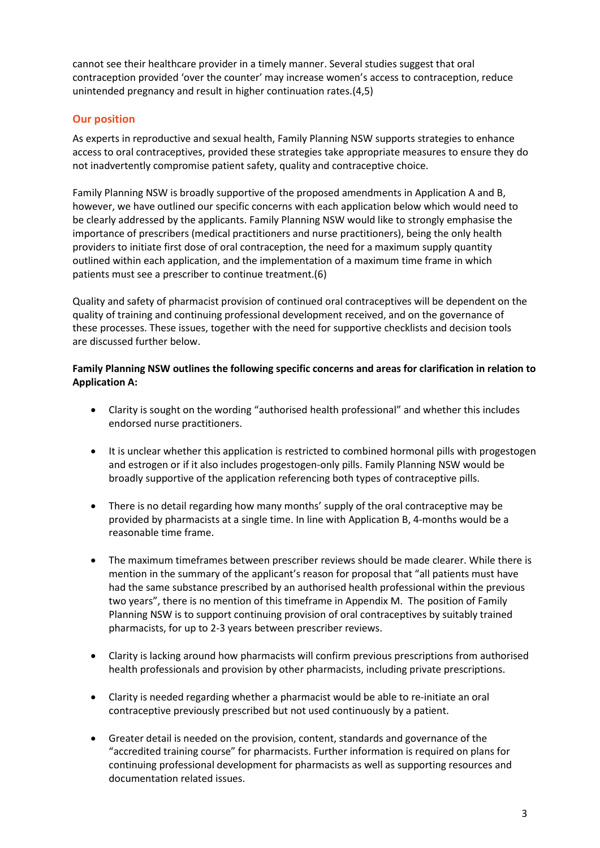cannot see their healthcare provider in a timely manner. Several studies suggest that oral contraception provided 'over the counter' may increase women's access to contraception, reduce unintended pregnancy and result in higher continuation rates.(4,5)

## **Our position**

As experts in reproductive and sexual health, Family Planning NSW supports strategies to enhance access to oral contraceptives, provided these strategies take appropriate measures to ensure they do not inadvertently compromise patient safety, quality and contraceptive choice.

Family Planning NSW is broadly supportive of the proposed amendments in Application A and B, however, we have outlined our specific concerns with each application below which would need to be clearly addressed by the applicants. Family Planning NSW would like to strongly emphasise the importance of prescribers (medical practitioners and nurse practitioners), being the only health providers to initiate first dose of oral contraception, the need for a maximum supply quantity outlined within each application, and the implementation of a maximum time frame in which patients must see a prescriber to continue treatment.(6)

Quality and safety of pharmacist provision of continued oral contraceptives will be dependent on the quality of training and continuing professional development received, and on the governance of these processes. These issues, together with the need for supportive checklists and decision tools are discussed further below.

### **Family Planning NSW outlines the following specific concerns and areas for clarification in relation to Application A:**

- Clarity is sought on the wording "authorised health professional" and whether this includes endorsed nurse practitioners.
- It is unclear whether this application is restricted to combined hormonal pills with progestogen and estrogen or if it also includes progestogen-only pills. Family Planning NSW would be broadly supportive of the application referencing both types of contraceptive pills.
- There is no detail regarding how many months' supply of the oral contraceptive may be provided by pharmacists at a single time. In line with Application B, 4-months would be a reasonable time frame.
- The maximum timeframes between prescriber reviews should be made clearer. While there is mention in the summary of the applicant's reason for proposal that "all patients must have had the same substance prescribed by an authorised health professional within the previous two years", there is no mention of this timeframe in Appendix M. The position of Family Planning NSW is to support continuing provision of oral contraceptives by suitably trained pharmacists, for up to 2-3 years between prescriber reviews.
- Clarity is lacking around how pharmacists will confirm previous prescriptions from authorised health professionals and provision by other pharmacists, including private prescriptions.
- Clarity is needed regarding whether a pharmacist would be able to re-initiate an oral contraceptive previously prescribed but not used continuously by a patient.
- Greater detail is needed on the provision, content, standards and governance of the "accredited training course" for pharmacists. Further information is required on plans for continuing professional development for pharmacists as well as supporting resources and documentation related issues.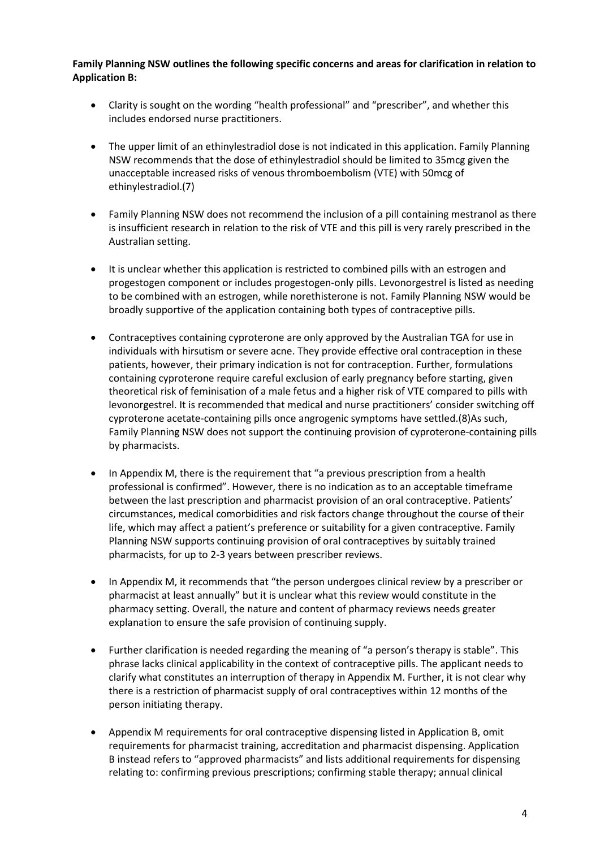#### **Family Planning NSW outlines the following specific concerns and areas for clarification in relation to Application B:**

- Clarity is sought on the wording "health professional" and "prescriber", and whether this includes endorsed nurse practitioners.
- The upper limit of an ethinylestradiol dose is not indicated in this application. Family Planning NSW recommends that the dose of ethinylestradiol should be limited to 35mcg given the unacceptable increased risks of venous thromboembolism (VTE) with 50mcg of ethinylestradiol.(7)
- Family Planning NSW does not recommend the inclusion of a pill containing mestranol as there is insufficient research in relation to the risk of VTE and this pill is very rarely prescribed in the Australian setting.
- It is unclear whether this application is restricted to combined pills with an estrogen and progestogen component or includes progestogen-only pills. Levonorgestrel is listed as needing to be combined with an estrogen, while norethisterone is not. Family Planning NSW would be broadly supportive of the application containing both types of contraceptive pills.
- Contraceptives containing cyproterone are only approved by the Australian TGA for use in individuals with hirsutism or severe acne. They provide effective oral contraception in these patients, however, their primary indication is not for contraception. Further, formulations containing cyproterone require careful exclusion of early pregnancy before starting, given theoretical risk of feminisation of a male fetus and a higher risk of VTE compared to pills with levonorgestrel. It is recommended that medical and nurse practitioners' consider switching off cyproterone acetate-containing pills once angrogenic symptoms have settled.(8)As such, Family Planning NSW does not support the continuing provision of cyproterone-containing pills by pharmacists.
- In Appendix M, there is the requirement that "a previous prescription from a health professional is confirmed". However, there is no indication as to an acceptable timeframe between the last prescription and pharmacist provision of an oral contraceptive. Patients' circumstances, medical comorbidities and risk factors change throughout the course of their life, which may affect a patient's preference or suitability for a given contraceptive. Family Planning NSW supports continuing provision of oral contraceptives by suitably trained pharmacists, for up to 2-3 years between prescriber reviews.
- In Appendix M, it recommends that "the person undergoes clinical review by a prescriber or pharmacist at least annually" but it is unclear what this review would constitute in the pharmacy setting. Overall, the nature and content of pharmacy reviews needs greater explanation to ensure the safe provision of continuing supply.
- Further clarification is needed regarding the meaning of "a person's therapy is stable". This phrase lacks clinical applicability in the context of contraceptive pills. The applicant needs to clarify what constitutes an interruption of therapy in Appendix M. Further, it is not clear why there is a restriction of pharmacist supply of oral contraceptives within 12 months of the person initiating therapy.
- Appendix M requirements for oral contraceptive dispensing listed in Application B, omit requirements for pharmacist training, accreditation and pharmacist dispensing. Application B instead refers to "approved pharmacists" and lists additional requirements for dispensing relating to: confirming previous prescriptions; confirming stable therapy; annual clinical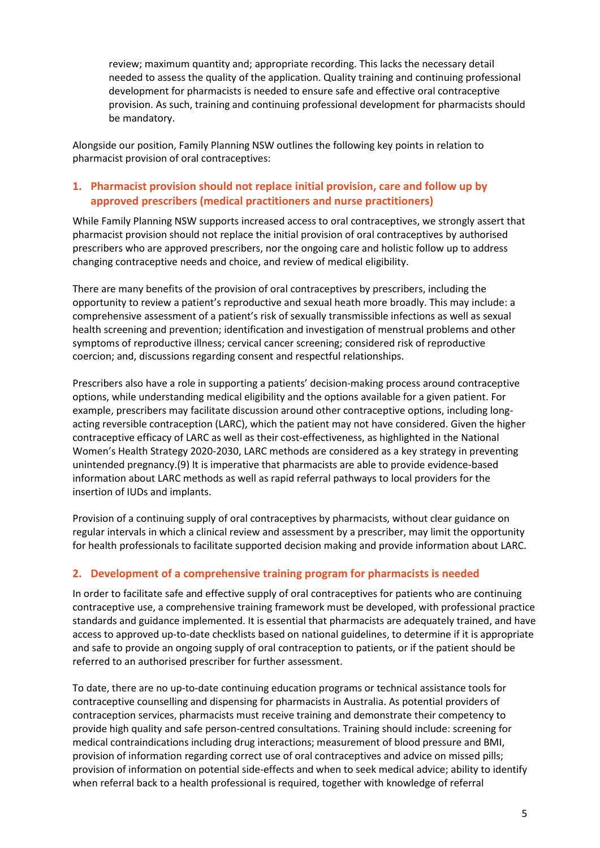review; maximum quantity and; appropriate recording. This lacks the necessary detail needed to assess the quality of the application. Quality training and continuing professional development for pharmacists is needed to ensure safe and effective oral contraceptive provision. As such, training and continuing professional development for pharmacists should be mandatory.

Alongside our position, Family Planning NSW outlines the following key points in relation to pharmacist provision of oral contraceptives:

# **1. Pharmacist provision should not replace initial provision, care and follow up by approved prescribers (medical practitioners and nurse practitioners)**

While Family Planning NSW supports increased access to oral contraceptives, we strongly assert that pharmacist provision should not replace the initial provision of oral contraceptives by authorised prescribers who are approved prescribers, nor the ongoing care and holistic follow up to address changing contraceptive needs and choice, and review of medical eligibility.

There are many benefits of the provision of oral contraceptives by prescribers, including the opportunity to review a patient's reproductive and sexual heath more broadly. This may include: a comprehensive assessment of a patient's risk of sexually transmissible infections as well as sexual health screening and prevention; identification and investigation of menstrual problems and other symptoms of reproductive illness; cervical cancer screening; considered risk of reproductive coercion; and, discussions regarding consent and respectful relationships.

Prescribers also have a role in supporting a patients' decision-making process around contraceptive options, while understanding medical eligibility and the options available for a given patient. For example, prescribers may facilitate discussion around other contraceptive options, including longacting reversible contraception (LARC), which the patient may not have considered. Given the higher contraceptive efficacy of LARC as well as their cost-effectiveness, as highlighted in the National Women's Health Strategy 2020-2030, LARC methods are considered as a key strategy in preventing unintended pregnancy.(9) It is imperative that pharmacists are able to provide evidence-based information about LARC methods as well as rapid referral pathways to local providers for the insertion of IUDs and implants.

Provision of a continuing supply of oral contraceptives by pharmacists, without clear guidance on regular intervals in which a clinical review and assessment by a prescriber, may limit the opportunity for health professionals to facilitate supported decision making and provide information about LARC.

# **2. Development of a comprehensive training program for pharmacists is needed**

In order to facilitate safe and effective supply of oral contraceptives for patients who are continuing contraceptive use, a comprehensive training framework must be developed, with professional practice standards and guidance implemented. It is essential that pharmacists are adequately trained, and have access to approved up-to-date checklists based on national guidelines, to determine if it is appropriate and safe to provide an ongoing supply of oral contraception to patients, or if the patient should be referred to an authorised prescriber for further assessment.

To date, there are no up-to-date continuing education programs or technical assistance tools for contraceptive counselling and dispensing for pharmacists in Australia. As potential providers of contraception services, pharmacists must receive training and demonstrate their competency to provide high quality and safe person-centred consultations. Training should include: screening for medical contraindications including drug interactions; measurement of blood pressure and BMI, provision of information regarding correct use of oral contraceptives and advice on missed pills; provision of information on potential side-effects and when to seek medical advice; ability to identify when referral back to a health professional is required, together with knowledge of referral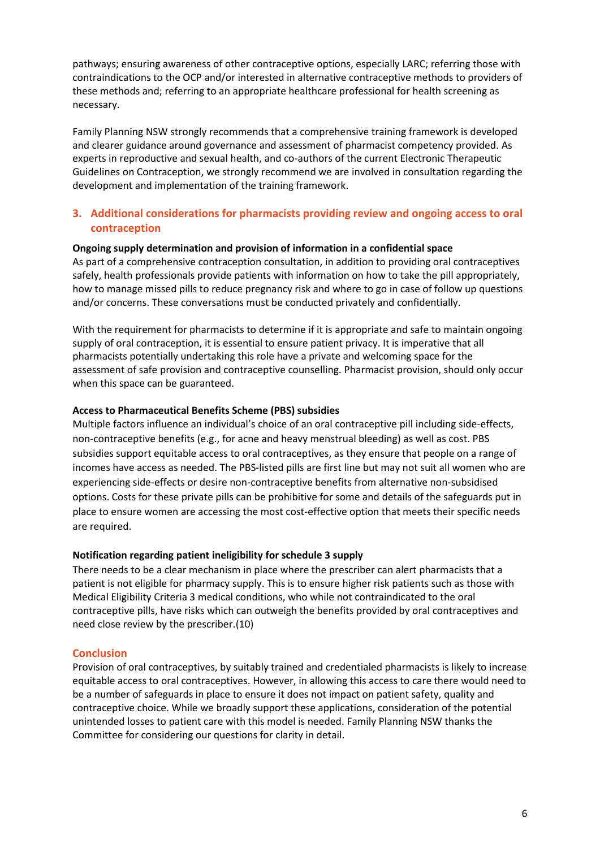pathways; ensuring awareness of other contraceptive options, especially LARC; referring those with contraindications to the OCP and/or interested in alternative contraceptive methods to providers of these methods and; referring to an appropriate healthcare professional for health screening as necessary.

Family Planning NSW strongly recommends that a comprehensive training framework is developed and clearer guidance around governance and assessment of pharmacist competency provided. As experts in reproductive and sexual health, and co-authors of the current Electronic Therapeutic Guidelines on Contraception, we strongly recommend we are involved in consultation regarding the development and implementation of the training framework.

# **3. Additional considerations for pharmacists providing review and ongoing access to oral contraception**

#### **Ongoing supply determination and provision of information in a confidential space**

As part of a comprehensive contraception consultation, in addition to providing oral contraceptives safely, health professionals provide patients with information on how to take the pill appropriately, how to manage missed pills to reduce pregnancy risk and where to go in case of follow up questions and/or concerns. These conversations must be conducted privately and confidentially.

With the requirement for pharmacists to determine if it is appropriate and safe to maintain ongoing supply of oral contraception, it is essential to ensure patient privacy. It is imperative that all pharmacists potentially undertaking this role have a private and welcoming space for the assessment of safe provision and contraceptive counselling. Pharmacist provision, should only occur when this space can be guaranteed.

#### **Access to Pharmaceutical Benefits Scheme (PBS) subsidies**

Multiple factors influence an individual's choice of an oral contraceptive pill including side-effects, non-contraceptive benefits (e.g., for acne and heavy menstrual bleeding) as well as cost. PBS subsidies support equitable access to oral contraceptives, as they ensure that people on a range of incomes have access as needed. The PBS-listed pills are first line but may not suit all women who are experiencing side-effects or desire non-contraceptive benefits from alternative non-subsidised options. Costs for these private pills can be prohibitive for some and details of the safeguards put in place to ensure women are accessing the most cost-effective option that meets their specific needs are required.

#### **Notification regarding patient ineligibility for schedule 3 supply**

There needs to be a clear mechanism in place where the prescriber can alert pharmacists that a patient is not eligible for pharmacy supply. This is to ensure higher risk patients such as those with Medical Eligibility Criteria 3 medical conditions, who while not contraindicated to the oral contraceptive pills, have risks which can outweigh the benefits provided by oral contraceptives and need close review by the prescriber.(10)

#### **Conclusion**

Provision of oral contraceptives, by suitably trained and credentialed pharmacists is likely to increase equitable access to oral contraceptives. However, in allowing this access to care there would need to be a number of safeguards in place to ensure it does not impact on patient safety, quality and contraceptive choice. While we broadly support these applications, consideration of the potential unintended losses to patient care with this model is needed. Family Planning NSW thanks the Committee for considering our questions for clarity in detail.